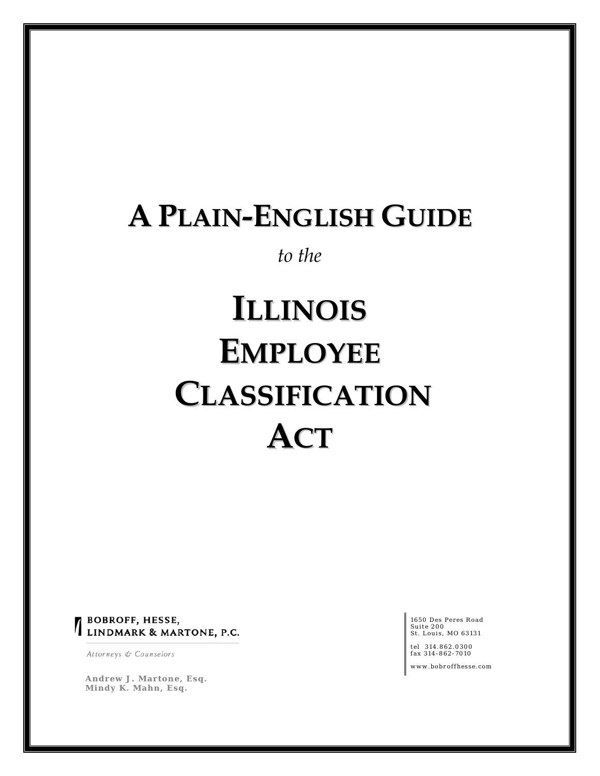# **A PLAIN-ENGLISH GUIDE**

# *to the*

# **ILLINOIS EMPLOYEE CLASSIFICATION ACT**

**BOBROFF, HESSE,** BOBROFF, HESSE,<br>LINDMARK & MARTONE, P.C.

Attorneys & Counselors

 **Andrew J. Martone, Esq. Mindy K. Mahn, Esq.**

1650 Des Peres Road Suite 200 St. Louis, MO 63131

tel 314.862.0300 fax 314-862-7010

 *www.bobroffhesse.com*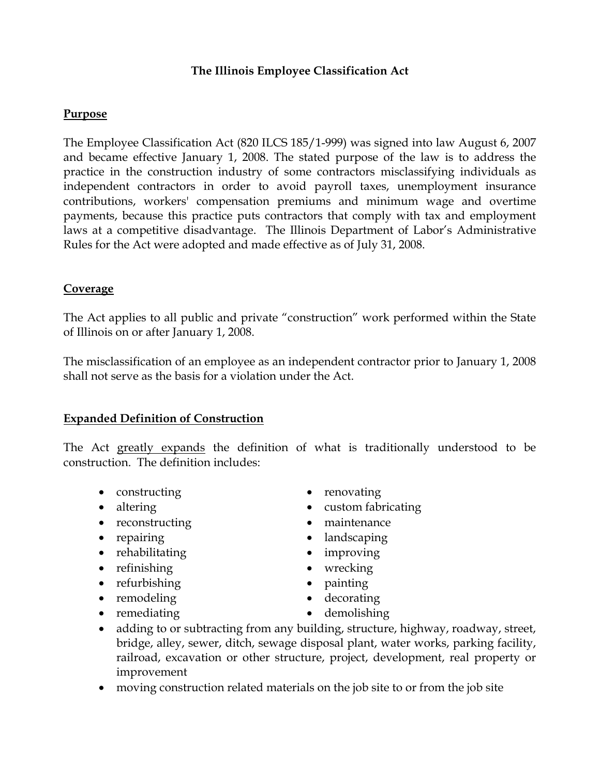# **The Illinois Employee Classification Act**

# **Purpose**

The Employee Classification Act (820 ILCS 185/1-999) was signed into law August 6, 2007 and became effective January 1, 2008. The stated purpose of the law is to address the practice in the construction industry of some contractors misclassifying individuals as independent contractors in order to avoid payroll taxes, unemployment insurance contributions, workers' compensation premiums and minimum wage and overtime payments, because this practice puts contractors that comply with tax and employment laws at a competitive disadvantage. The Illinois Department of Labor's Administrative Rules for the Act were adopted and made effective as of July 31, 2008.

# **Coverage**

The Act applies to all public and private "construction" work performed within the State of Illinois on or after January 1, 2008.

The misclassification of an employee as an independent contractor prior to January 1, 2008 shall not serve as the basis for a violation under the Act.

#### **Expanded Definition of Construction**

The Act greatly expands the definition of what is traditionally understood to be construction. The definition includes:

- constructing
- altering
- reconstructing
- repairing
- rehabilitating
- refinishing
- refurbishing
- remodeling
- remediating
- renovating
- custom fabricating
- maintenance
- landscaping
- improving
- 
- painting
- decorating
- demolishing
- adding to or subtracting from any building, structure, highway, roadway, street, bridge, alley, sewer, ditch, sewage disposal plant, water works, parking facility, railroad, excavation or other structure, project, development, real property or improvement
- moving construction related materials on the job site to or from the job site
- 
- wrecking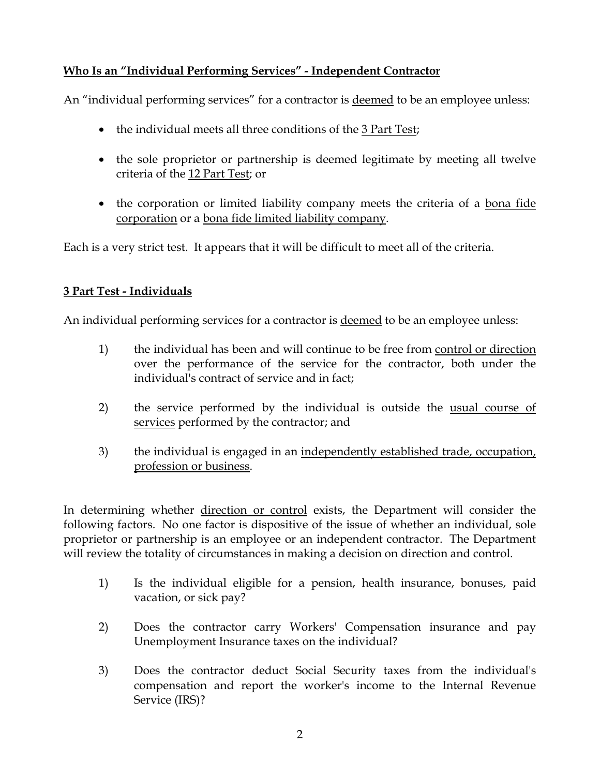# **Who Is an "Individual Performing Services" - Independent Contractor**

An "individual performing services" for a contractor is deemed to be an employee unless:

- the individual meets all three conditions of the 3 Part Test;
- the sole proprietor or partnership is deemed legitimate by meeting all twelve criteria of the 12 Part Test; or
- the corporation or limited liability company meets the criteria of a bona fide corporation or a bona fide limited liability company.

Each is a very strict test. It appears that it will be difficult to meet all of the criteria.

# **3 Part Test - Individuals**

An individual performing services for a contractor is deemed to be an employee unless:

- 1) the individual has been and will continue to be free from control or direction over the performance of the service for the contractor, both under the individual's contract of service and in fact;
- 2) the service performed by the individual is outside the usual course of services performed by the contractor; and
- 3) the individual is engaged in an independently established trade, occupation, profession or business.

In determining whether direction or control exists, the Department will consider the following factors. No one factor is dispositive of the issue of whether an individual, sole proprietor or partnership is an employee or an independent contractor. The Department will review the totality of circumstances in making a decision on direction and control.

- 1) Is the individual eligible for a pension, health insurance, bonuses, paid vacation, or sick pay?
- 2) Does the contractor carry Workers' Compensation insurance and pay Unemployment Insurance taxes on the individual?
- 3) Does the contractor deduct Social Security taxes from the individual's compensation and report the worker's income to the Internal Revenue Service (IRS)?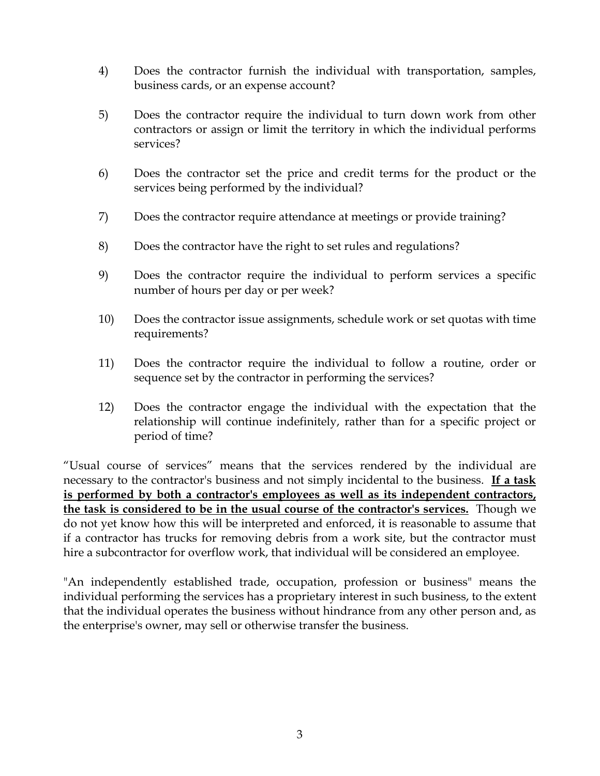- 4) Does the contractor furnish the individual with transportation, samples, business cards, or an expense account?
- 5) Does the contractor require the individual to turn down work from other contractors or assign or limit the territory in which the individual performs services?
- 6) Does the contractor set the price and credit terms for the product or the services being performed by the individual?
- 7) Does the contractor require attendance at meetings or provide training?
- 8) Does the contractor have the right to set rules and regulations?
- 9) Does the contractor require the individual to perform services a specific number of hours per day or per week?
- 10) Does the contractor issue assignments, schedule work or set quotas with time requirements?
- 11) Does the contractor require the individual to follow a routine, order or sequence set by the contractor in performing the services?
- 12) Does the contractor engage the individual with the expectation that the relationship will continue indefinitely, rather than for a specific project or period of time?

"Usual course of services" means that the services rendered by the individual are necessary to the contractor's business and not simply incidental to the business. **If a task is performed by both a contractor's employees as well as its independent contractors, the task is considered to be in the usual course of the contractor's services.** Though we do not yet know how this will be interpreted and enforced, it is reasonable to assume that if a contractor has trucks for removing debris from a work site, but the contractor must hire a subcontractor for overflow work, that individual will be considered an employee.

"An independently established trade, occupation, profession or business" means the individual performing the services has a proprietary interest in such business, to the extent that the individual operates the business without hindrance from any other person and, as the enterprise's owner, may sell or otherwise transfer the business.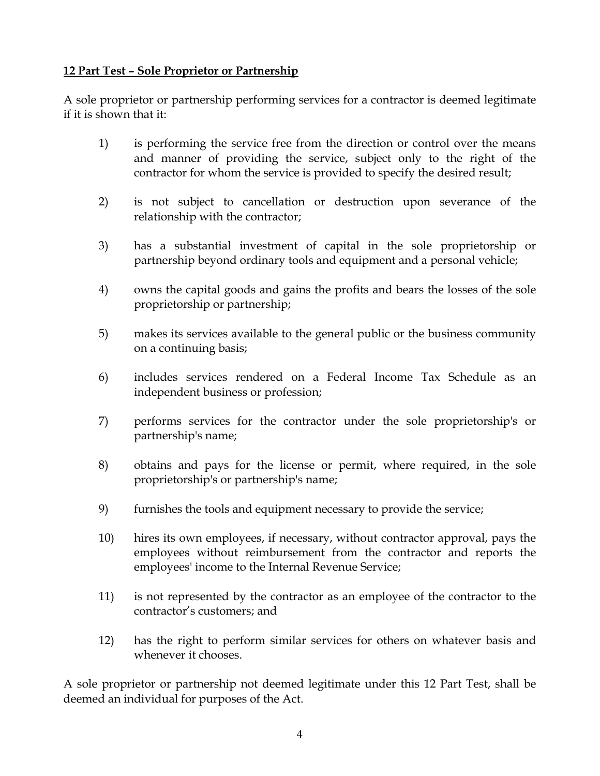# **12 Part Test – Sole Proprietor or Partnership**

A sole proprietor or partnership performing services for a contractor is deemed legitimate if it is shown that it:

- 1) is performing the service free from the direction or control over the means and manner of providing the service, subject only to the right of the contractor for whom the service is provided to specify the desired result;
- 2) is not subject to cancellation or destruction upon severance of the relationship with the contractor;
- 3) has a substantial investment of capital in the sole proprietorship or partnership beyond ordinary tools and equipment and a personal vehicle;
- 4) owns the capital goods and gains the profits and bears the losses of the sole proprietorship or partnership;
- 5) makes its services available to the general public or the business community on a continuing basis;
- 6) includes services rendered on a Federal Income Tax Schedule as an independent business or profession;
- 7) performs services for the contractor under the sole proprietorship's or partnership's name;
- 8) obtains and pays for the license or permit, where required, in the sole proprietorship's or partnership's name;
- 9) furnishes the tools and equipment necessary to provide the service;
- 10) hires its own employees, if necessary, without contractor approval, pays the employees without reimbursement from the contractor and reports the employees' income to the Internal Revenue Service;
- 11) is not represented by the contractor as an employee of the contractor to the contractor's customers; and
- 12) has the right to perform similar services for others on whatever basis and whenever it chooses

A sole proprietor or partnership not deemed legitimate under this 12 Part Test, shall be deemed an individual for purposes of the Act.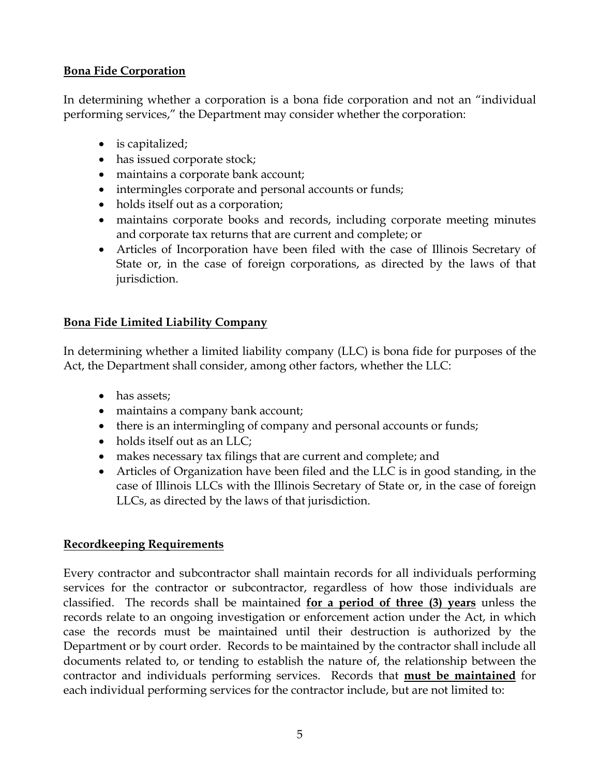# **Bona Fide Corporation**

In determining whether a corporation is a bona fide corporation and not an "individual performing services," the Department may consider whether the corporation:

- is capitalized;
- has issued corporate stock;
- maintains a corporate bank account;
- intermingles corporate and personal accounts or funds;
- holds itself out as a corporation;
- maintains corporate books and records, including corporate meeting minutes and corporate tax returns that are current and complete; or
- Articles of Incorporation have been filed with the case of Illinois Secretary of State or, in the case of foreign corporations, as directed by the laws of that jurisdiction.

# **Bona Fide Limited Liability Company**

In determining whether a limited liability company (LLC) is bona fide for purposes of the Act, the Department shall consider, among other factors, whether the LLC:

- has assets:
- maintains a company bank account;
- there is an intermingling of company and personal accounts or funds;
- holds itself out as an LLC;
- makes necessary tax filings that are current and complete; and
- Articles of Organization have been filed and the LLC is in good standing, in the case of Illinois LLCs with the Illinois Secretary of State or, in the case of foreign LLCs, as directed by the laws of that jurisdiction.

# **Recordkeeping Requirements**

Every contractor and subcontractor shall maintain records for all individuals performing services for the contractor or subcontractor, regardless of how those individuals are classified. The records shall be maintained **for a period of three (3) years** unless the records relate to an ongoing investigation or enforcement action under the Act, in which case the records must be maintained until their destruction is authorized by the Department or by court order. Records to be maintained by the contractor shall include all documents related to, or tending to establish the nature of, the relationship between the contractor and individuals performing services. Records that **must be maintained** for each individual performing services for the contractor include, but are not limited to: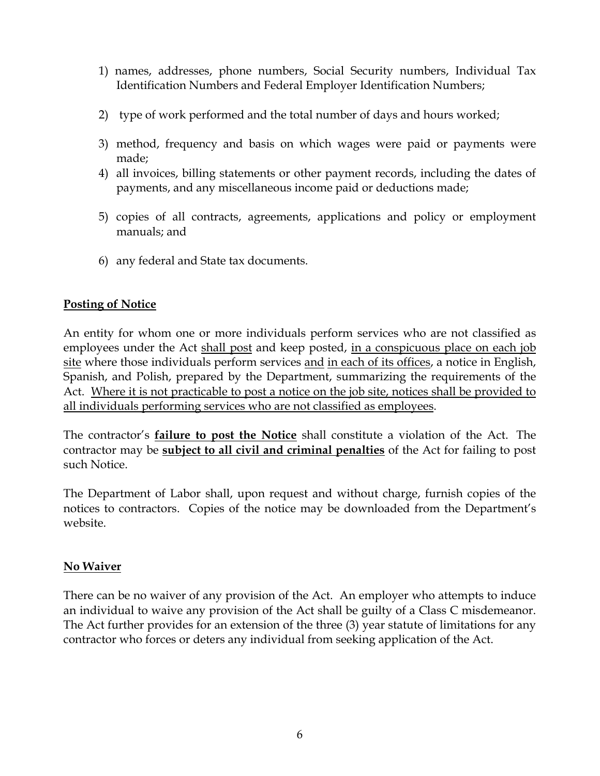- 1) names, addresses, phone numbers, Social Security numbers, Individual Tax Identification Numbers and Federal Employer Identification Numbers;
- 2) type of work performed and the total number of days and hours worked;
- 3) method, frequency and basis on which wages were paid or payments were made;
- 4) all invoices, billing statements or other payment records, including the dates of payments, and any miscellaneous income paid or deductions made;
- 5) copies of all contracts, agreements, applications and policy or employment manuals; and
- 6) any federal and State tax documents.

# **Posting of Notice**

An entity for whom one or more individuals perform services who are not classified as employees under the Act shall post and keep posted, in a conspicuous place on each job site where those individuals perform services and in each of its offices, a notice in English, Spanish, and Polish, prepared by the Department, summarizing the requirements of the Act. Where it is not practicable to post a notice on the job site, notices shall be provided to all individuals performing services who are not classified as employees.

The contractor's **failure to post the Notice** shall constitute a violation of the Act. The contractor may be **subject to all civil and criminal penalties** of the Act for failing to post such Notice.

The Department of Labor shall, upon request and without charge, furnish copies of the notices to contractors. Copies of the notice may be downloaded from the Department's website.

#### **No Waiver**

There can be no waiver of any provision of the Act. An employer who attempts to induce an individual to waive any provision of the Act shall be guilty of a Class C misdemeanor. The Act further provides for an extension of the three (3) year statute of limitations for any contractor who forces or deters any individual from seeking application of the Act.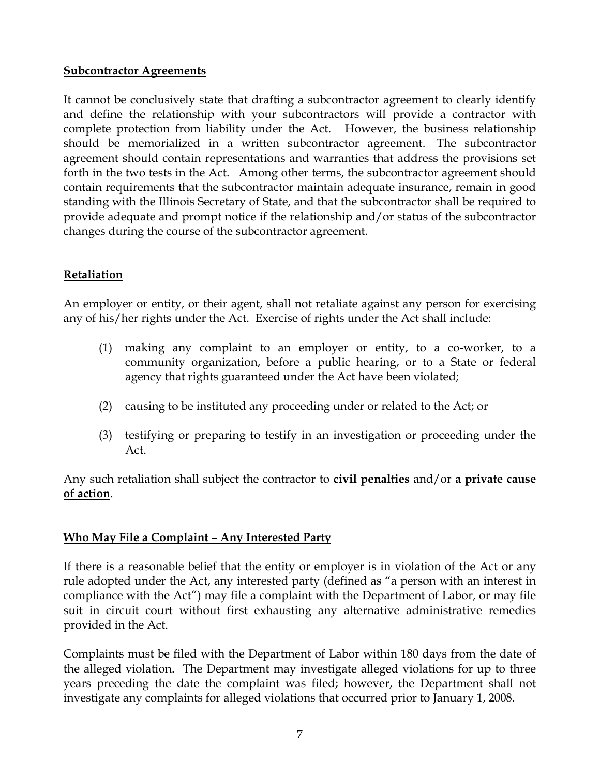### **Subcontractor Agreements**

It cannot be conclusively state that drafting a subcontractor agreement to clearly identify and define the relationship with your subcontractors will provide a contractor with complete protection from liability under the Act. However, the business relationship should be memorialized in a written subcontractor agreement. The subcontractor agreement should contain representations and warranties that address the provisions set forth in the two tests in the Act. Among other terms, the subcontractor agreement should contain requirements that the subcontractor maintain adequate insurance, remain in good standing with the Illinois Secretary of State, and that the subcontractor shall be required to provide adequate and prompt notice if the relationship and/or status of the subcontractor changes during the course of the subcontractor agreement.

# **Retaliation**

An employer or entity, or their agent, shall not retaliate against any person for exercising any of his/her rights under the Act. Exercise of rights under the Act shall include:

- (1) making any complaint to an employer or entity, to a co-worker, to a community organization, before a public hearing, or to a State or federal agency that rights guaranteed under the Act have been violated;
- (2) causing to be instituted any proceeding under or related to the Act; or
- (3) testifying or preparing to testify in an investigation or proceeding under the Act.

Any such retaliation shall subject the contractor to **civil penalties** and/or **a private cause of action**.

# **Who May File a Complaint – Any Interested Party**

If there is a reasonable belief that the entity or employer is in violation of the Act or any rule adopted under the Act, any interested party (defined as "a person with an interest in compliance with the Act") may file a complaint with the Department of Labor, or may file suit in circuit court without first exhausting any alternative administrative remedies provided in the Act.

Complaints must be filed with the Department of Labor within 180 days from the date of the alleged violation. The Department may investigate alleged violations for up to three years preceding the date the complaint was filed; however, the Department shall not investigate any complaints for alleged violations that occurred prior to January 1, 2008.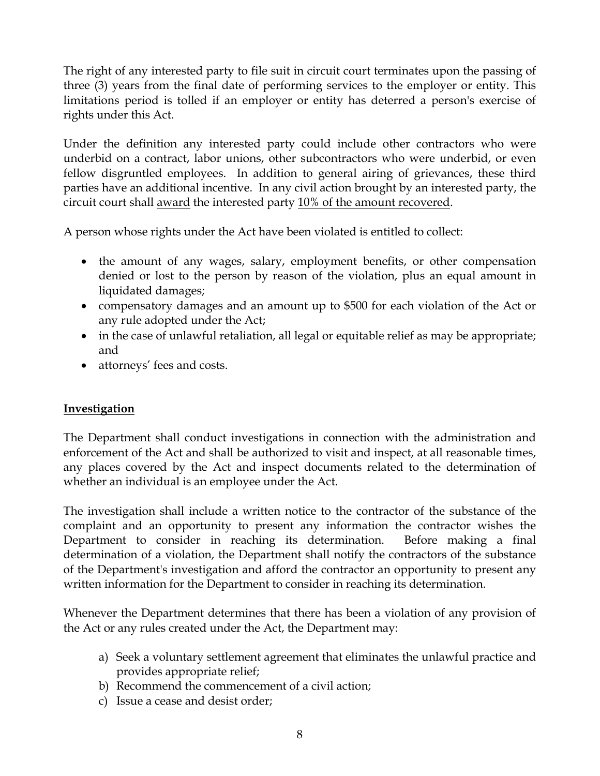The right of any interested party to file suit in circuit court terminates upon the passing of three (3) years from the final date of performing services to the employer or entity. This limitations period is tolled if an employer or entity has deterred a person's exercise of rights under this Act.

Under the definition any interested party could include other contractors who were underbid on a contract, labor unions, other subcontractors who were underbid, or even fellow disgruntled employees. In addition to general airing of grievances, these third parties have an additional incentive. In any civil action brought by an interested party, the circuit court shall award the interested party 10% of the amount recovered.

A person whose rights under the Act have been violated is entitled to collect:

- the amount of any wages, salary, employment benefits, or other compensation denied or lost to the person by reason of the violation, plus an equal amount in liquidated damages;
- compensatory damages and an amount up to \$500 for each violation of the Act or any rule adopted under the Act;
- in the case of unlawful retaliation, all legal or equitable relief as may be appropriate; and
- attorneys' fees and costs.

# **Investigation**

The Department shall conduct investigations in connection with the administration and enforcement of the Act and shall be authorized to visit and inspect, at all reasonable times, any places covered by the Act and inspect documents related to the determination of whether an individual is an employee under the Act.

The investigation shall include a written notice to the contractor of the substance of the complaint and an opportunity to present any information the contractor wishes the Department to consider in reaching its determination. Before making a final determination of a violation, the Department shall notify the contractors of the substance of the Department's investigation and afford the contractor an opportunity to present any written information for the Department to consider in reaching its determination.

Whenever the Department determines that there has been a violation of any provision of the Act or any rules created under the Act, the Department may:

- a) Seek a voluntary settlement agreement that eliminates the unlawful practice and provides appropriate relief;
- b) Recommend the commencement of a civil action;
- c) Issue a cease and desist order;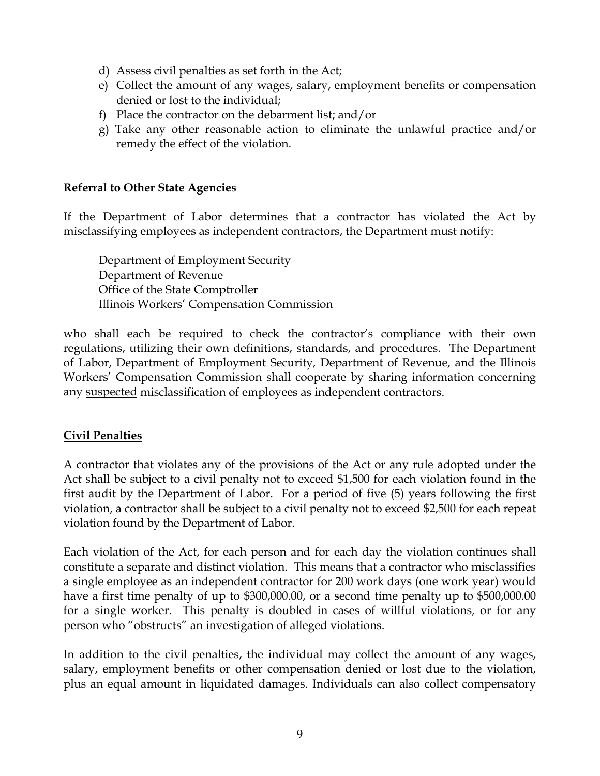- d) Assess civil penalties as set forth in the Act;
- e) Collect the amount of any wages, salary, employment benefits or compensation denied or lost to the individual;
- f) Place the contractor on the debarment list; and/or
- g) Take any other reasonable action to eliminate the unlawful practice and/or remedy the effect of the violation.

### **Referral to Other State Agencies**

If the Department of Labor determines that a contractor has violated the Act by misclassifying employees as independent contractors, the Department must notify:

Department of Employment Security Department of Revenue Office of the State Comptroller Illinois Workers' Compensation Commission

who shall each be required to check the contractor's compliance with their own regulations, utilizing their own definitions, standards, and procedures. The Department of Labor, Department of Employment Security, Department of Revenue, and the Illinois Workers' Compensation Commission shall cooperate by sharing information concerning any <u>suspected</u> misclassification of employees as independent contractors.

# **Civil Penalties**

A contractor that violates any of the provisions of the Act or any rule adopted under the Act shall be subject to a civil penalty not to exceed \$1,500 for each violation found in the first audit by the Department of Labor. For a period of five (5) years following the first violation, a contractor shall be subject to a civil penalty not to exceed \$2,500 for each repeat violation found by the Department of Labor.

Each violation of the Act, for each person and for each day the violation continues shall constitute a separate and distinct violation. This means that a contractor who misclassifies a single employee as an independent contractor for 200 work days (one work year) would have a first time penalty of up to \$300,000.00, or a second time penalty up to \$500,000.00 for a single worker. This penalty is doubled in cases of willful violations, or for any person who "obstructs" an investigation of alleged violations.

In addition to the civil penalties, the individual may collect the amount of any wages, salary, employment benefits or other compensation denied or lost due to the violation, plus an equal amount in liquidated damages. Individuals can also collect compensatory